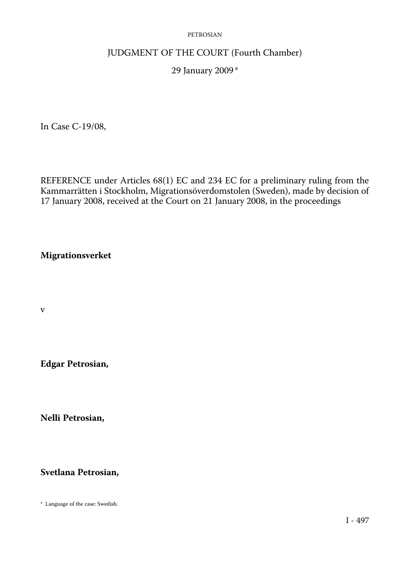### JUDGMENT OF THE COURT (Fourth Chamber)

### 29 January 2009 \*

In Case C-19/08,

REFERENCE under Articles 68(1) EC and 234 EC for a preliminary ruling from the Kammarrätten i Stockholm, Migrationsöverdomstolen (Sweden), made by decision of 17 January 2008, received at the Court on 21 January 2008, in the proceedings

### **Migrationsverket**

v

**Edgar Petrosian,** 

**Nelli Petrosian,** 

**Svetlana Petrosian,** 

\* Language of the case: Swedish.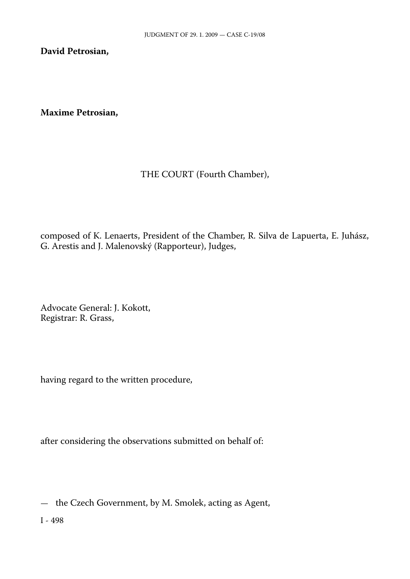**David Petrosian,** 

**Maxime Petrosian,** 

## THE COURT (Fourth Chamber),

composed of K. Lenaerts, President of the Chamber, R. Silva de Lapuerta, E. Juhász, G. Arestis and J. Malenovský (Rapporteur), Judges,

Advocate General: J. Kokott, Registrar: R. Grass,

having regard to the written procedure,

after considering the observations submitted on behalf of:

— the Czech Government, by M. Smolek, acting as Agent,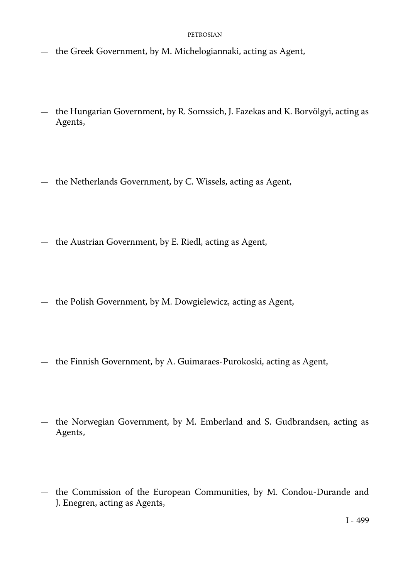- the Greek Government, by M. Michelogiannaki, acting as Agent,
- the Hungarian Government, by R. Somssich, J. Fazekas and K. Borvölgyi, acting as Agents,
- the Netherlands Government, by C. Wissels, acting as Agent,
- the Austrian Government, by E. Riedl, acting as Agent,
- the Polish Government, by M. Dowgielewicz, acting as Agent,
- the Finnish Government, by A. Guimaraes-Purokoski, acting as Agent,
- the Norwegian Government, by M. Emberland and S. Gudbrandsen, acting as Agents,
- the Commission of the European Communities, by M. Condou-Durande and J. Enegren, acting as Agents,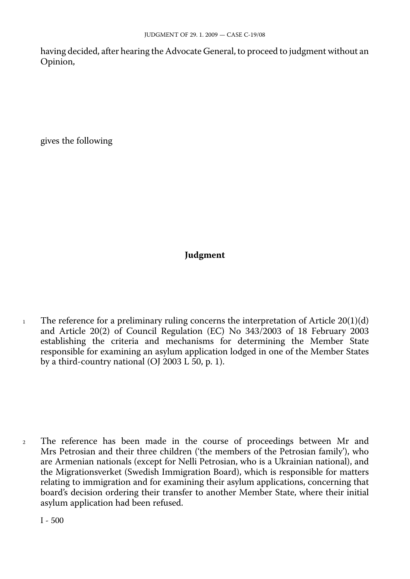having decided, after hearing the Advocate General, to proceed to judgment without an Opinion,

gives the following

# **Judgment**

<sup>1</sup> The reference for a preliminary ruling concerns the interpretation of Article  $20(1)(d)$ and Article 20(2) of Council Regulation (EC) No 343/2003 of 18 February 2003 establishing the criteria and mechanisms for determining the Member State responsible for examining an asylum application lodged in one of the Member States by a third-country national (OJ 2003 L 50, p. 1).

<sup>2</sup> The reference has been made in the course of proceedings between Mr and Mrs Petrosian and their three children ('the members of the Petrosian family'), who are Armenian nationals (except for Nelli Petrosian, who is a Ukrainian national), and the Migrationsverket (Swedish Immigration Board), which is responsible for matters relating to immigration and for examining their asylum applications, concerning that board's decision ordering their transfer to another Member State, where their initial asylum application had been refused.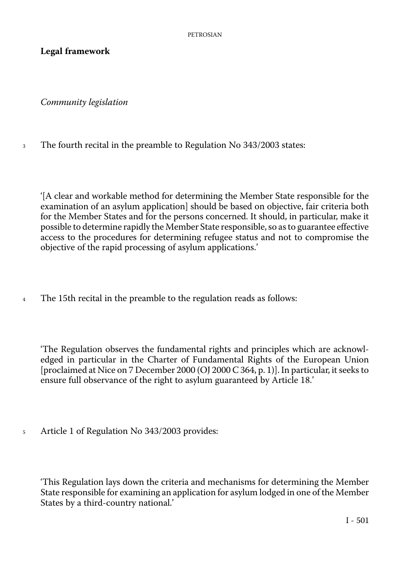## **Legal framework**

*Community legislation* 

3 The fourth recital in the preamble to Regulation No 343/2003 states:

'[A clear and workable method for determining the Member State responsible for the examination of an asylum application] should be based on objective, fair criteria both for the Member States and for the persons concerned. It should, in particular, make it possible to determine rapidly the Member State responsible, so as to guarantee effective access to the procedures for determining refugee status and not to compromise the objective of the rapid processing of asylum applications.'

4 The 15th recital in the preamble to the regulation reads as follows:

'The Regulation observes the fundamental rights and principles which are acknowledged in particular in the Charter of Fundamental Rights of the European Union [proclaimed at Nice on 7 December 2000 (OJ 2000 C 364, p. 1)]. In particular, it seeks to ensure full observance of the right to asylum guaranteed by Article 18.'

5 Article 1 of Regulation No 343/2003 provides:

'This Regulation lays down the criteria and mechanisms for determining the Member State responsible for examining an application for asylum lodged in one of the Member States by a third-country national.'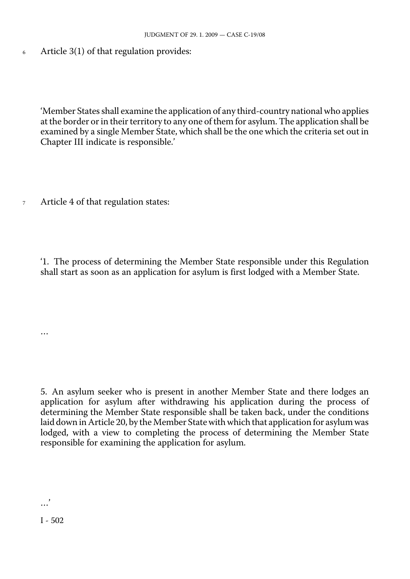6 Article 3(1) of that regulation provides:

> 'Member States shall examine the application of any third-country national who applies at the border or in their territory to any one of them for asylum. The application shall be examined by a single Member State, which shall be the one which the criteria set out in Chapter III indicate is responsible.'

7 Article 4 of that regulation states:

> '1. The process of determining the Member State responsible under this Regulation shall start as soon as an application for asylum is first lodged with a Member State.

> 5. An asylum seeker who is present in another Member State and there lodges an application for asylum after withdrawing his application during the process of determining the Member State responsible shall be taken back, under the conditions laid down in Article 20, by the Member State with which that application for asylum was lodged, with a view to completing the process of determining the Member State responsible for examining the application for asylum.

…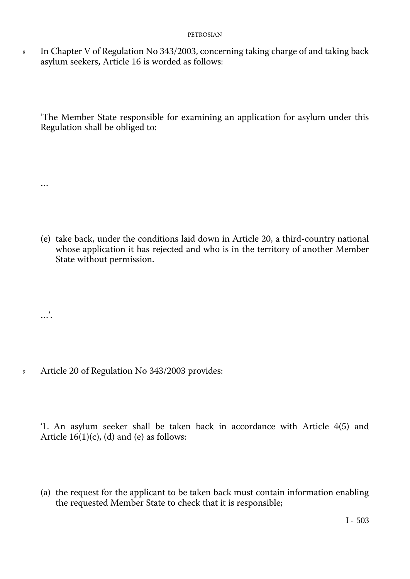8 In Chapter V of Regulation No 343/2003, concerning taking charge of and taking back asylum seekers, Article 16 is worded as follows:

'The Member State responsible for examining an application for asylum under this Regulation shall be obliged to:

(e) take back, under the conditions laid down in Article 20, a third-country national whose application it has rejected and who is in the territory of another Member State without permission.

…'.

…

<sup>9</sup> Article 20 of Regulation No 343/2003 provides:

'1. An asylum seeker shall be taken back in accordance with Article 4(5) and Article  $16(1)(c)$ , (d) and (e) as follows:

(a) the request for the applicant to be taken back must contain information enabling the requested Member State to check that it is responsible;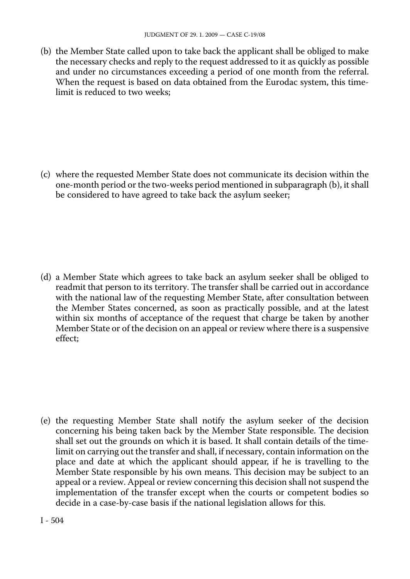(b) the Member State called upon to take back the applicant shall be obliged to make the necessary checks and reply to the request addressed to it as quickly as possible and under no circumstances exceeding a period of one month from the referral. When the request is based on data obtained from the Eurodac system, this timelimit is reduced to two weeks;

(c) where the requested Member State does not communicate its decision within the one-month period or the two-weeks period mentioned in subparagraph (b), it shall be considered to have agreed to take back the asylum seeker;

(d) a Member State which agrees to take back an asylum seeker shall be obliged to readmit that person to its territory. The transfer shall be carried out in accordance with the national law of the requesting Member State, after consultation between the Member States concerned, as soon as practically possible, and at the latest within six months of acceptance of the request that charge be taken by another Member State or of the decision on an appeal or review where there is a suspensive effect;

(e) the requesting Member State shall notify the asylum seeker of the decision concerning his being taken back by the Member State responsible. The decision shall set out the grounds on which it is based. It shall contain details of the timelimit on carrying out the transfer and shall, if necessary, contain information on the place and date at which the applicant should appear, if he is travelling to the Member State responsible by his own means. This decision may be subject to an appeal or a review. Appeal or review concerning this decision shall not suspend the implementation of the transfer except when the courts or competent bodies so decide in a case-by-case basis if the national legislation allows for this.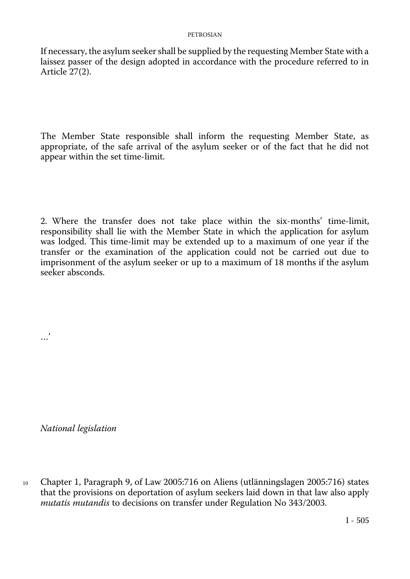If necessary, the asylum seeker shall be supplied by the requesting Member State with a laissez passer of the design adopted in accordance with the procedure referred to in Article 27(2).

The Member State responsible shall inform the requesting Member State, as appropriate, of the safe arrival of the asylum seeker or of the fact that he did not appear within the set time-limit.

2. Where the transfer does not take place within the six-months' time-limit, responsibility shall lie with the Member State in which the application for asylum was lodged. This time-limit may be extended up to a maximum of one year if the transfer or the examination of the application could not be carried out due to imprisonment of the asylum seeker or up to a maximum of 18 months if the asylum seeker absconds.

*National legislation* 

…'

Chapter 1, Paragraph 9, of Law 2005:716 on Aliens (utlänningslagen 2005:716) states that the provisions on deportation of asylum seekers laid down in that law also apply *mutatis mutandis* to decisions on transfer under Regulation No 343/2003. 10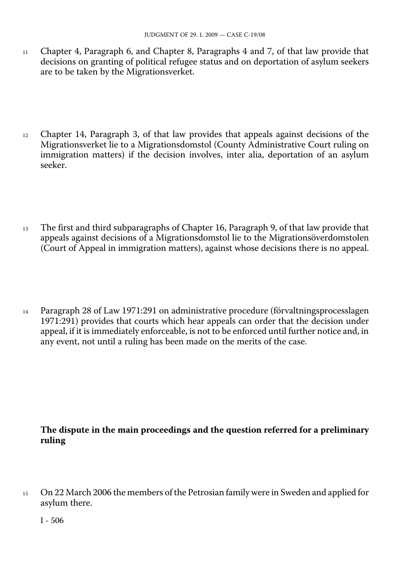- 11 Chapter 4, Paragraph 6, and Chapter 8, Paragraphs 4 and 7, of that law provide that decisions on granting of political refugee status and on deportation of asylum seekers are to be taken by the Migrationsverket.
- <sup>12</sup> Chapter 14, Paragraph 3, of that law provides that appeals against decisions of the Migrationsverket lie to a Migrationsdomstol (County Administrative Court ruling on immigration matters) if the decision involves, inter alia, deportation of an asylum seeker.
- <sup>13</sup> The first and third subparagraphs of Chapter 16, Paragraph 9, of that law provide that appeals against decisions of a Migrationsdomstol lie to the Migrationsöverdomstolen (Court of Appeal in immigration matters), against whose decisions there is no appeal.
- <sup>14</sup> Paragraph 28 of Law 1971:291 on administrative procedure (förvaltningsprocesslagen 1971:291) provides that courts which hear appeals can order that the decision under appeal, if it is immediately enforceable, is not to be enforced until further notice and, in any event, not until a ruling has been made on the merits of the case.

### **The dispute in the main proceedings and the question referred for a preliminary ruling**

On 22 March 2006 the members of the Petrosian family were in Sweden and applied for asylum there. 15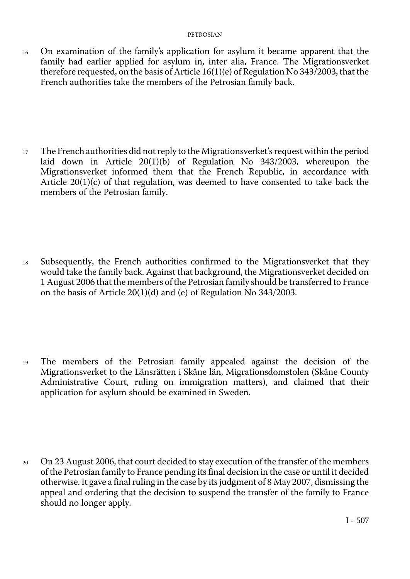<sup>16</sup> On examination of the family's application for asylum it became apparent that the family had earlier applied for asylum in, inter alia, France. The Migrationsverket therefore requested, on the basis of Article 16(1)(e) of Regulation No 343/2003, that the French authorities take the members of the Petrosian family back.

<sup>17</sup> The French authorities did not reply to the Migrationsverket's request within the period laid down in Article 20(1)(b) of Regulation No 343/2003, whereupon the Migrationsverket informed them that the French Republic, in accordance with Article  $20(1)(c)$  of that regulation, was deemed to have consented to take back the members of the Petrosian family.

<sup>18</sup> Subsequently, the French authorities confirmed to the Migrationsverket that they would take the family back. Against that background, the Migrationsverket decided on 1 August 2006 that the members of the Petrosian family should be transferred to France on the basis of Article 20(1)(d) and (e) of Regulation No 343/2003.

<sup>19</sup> The members of the Petrosian family appealed against the decision of the Migrationsverket to the Länsrätten i Skåne län, Migrationsdomstolen (Skåne County Administrative Court, ruling on immigration matters), and claimed that their application for asylum should be examined in Sweden.

<sup>20</sup> On 23 August 2006, that court decided to stay execution of the transfer of the members of the Petrosian family to France pending its final decision in the case or until it decided otherwise. It gave a final ruling in the case by its judgment of 8 May 2007, dismissing the appeal and ordering that the decision to suspend the transfer of the family to France should no longer apply.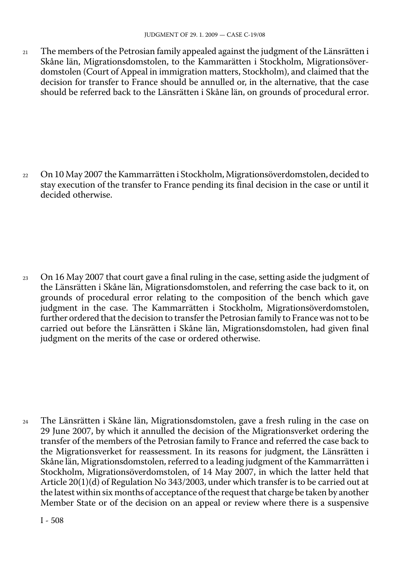21 The members of the Petrosian family appealed against the judgment of the Länsrätten i Skåne län, Migrationsdomstolen, to the Kammarätten i Stockholm, Migrationsöverdomstolen (Court of Appeal in immigration matters, Stockholm), and claimed that the decision for transfer to France should be annulled or, in the alternative, that the case should be referred back to the Länsrätten i Skåne län, on grounds of procedural error.

<sup>22</sup> On 10 May 2007 the Kammarrätten i Stockholm, Migrationsöverdomstolen, decided to stay execution of the transfer to France pending its final decision in the case or until it decided otherwise.

<sup>23</sup> On 16 May 2007 that court gave a final ruling in the case, setting aside the judgment of the Länsrätten i Skåne län, Migrationsdomstolen, and referring the case back to it, on grounds of procedural error relating to the composition of the bench which gave judgment in the case. The Kammarrätten i Stockholm, Migrationsöverdomstolen, further ordered that the decision to transfer the Petrosian family to France was not to be carried out before the Länsrätten i Skåne län, Migrationsdomstolen, had given final judgment on the merits of the case or ordered otherwise.

<sup>24</sup> The Länsrätten i Skåne län, Migrationsdomstolen, gave a fresh ruling in the case on 29 June 2007, by which it annulled the decision of the Migrationsverket ordering the transfer of the members of the Petrosian family to France and referred the case back to the Migrationsverket for reassessment. In its reasons for judgment, the Länsrätten i Skåne län, Migrationsdomstolen, referred to a leading judgment of the Kammarrätten i Stockholm, Migrationsöverdomstolen, of 14 May 2007, in which the latter held that Article 20(1)(d) of Regulation No 343/2003, under which transfer is to be carried out at the latest within six months of acceptance of the request that charge be taken by another Member State or of the decision on an appeal or review where there is a suspensive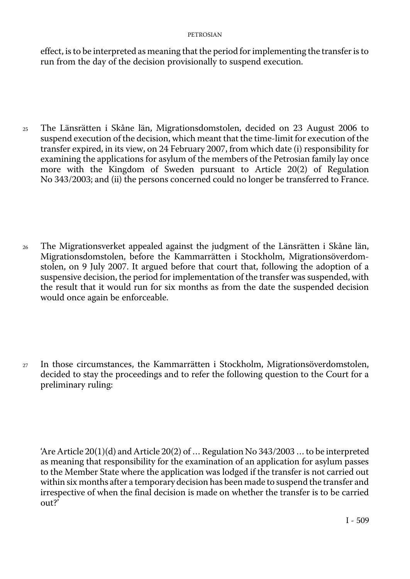effect, is to be interpreted as meaning that the period for implementing the transfer is to run from the day of the decision provisionally to suspend execution.

- <sup>25</sup> The Länsrätten i Skåne län, Migrationsdomstolen, decided on 23 August 2006 to suspend execution of the decision, which meant that the time-limit for execution of the transfer expired, in its view, on 24 February 2007, from which date (i) responsibility for examining the applications for asylum of the members of the Petrosian family lay once more with the Kingdom of Sweden pursuant to Article 20(2) of Regulation No 343/2003; and (ii) the persons concerned could no longer be transferred to France.
- <sup>26</sup> The Migrationsverket appealed against the judgment of the Länsrätten i Skåne län, Migrationsdomstolen, before the Kammarrätten i Stockholm, Migrationsöverdomstolen, on 9 July 2007. It argued before that court that, following the adoption of a suspensive decision, the period for implementation of the transfer was suspended, with the result that it would run for six months as from the date the suspended decision would once again be enforceable.
- <sup>27</sup> In those circumstances, the Kammarrätten i Stockholm, Migrationsöverdomstolen, decided to stay the proceedings and to refer the following question to the Court for a preliminary ruling:

<sup>&#</sup>x27;Are Article 20(1)(d) and Article 20(2) of  $\ldots$  Regulation No 343/2003  $\ldots$  to be interpreted as meaning that responsibility for the examination of an application for asylum passes to the Member State where the application was lodged if the transfer is not carried out within six months after a temporary decision has been made to suspend the transfer and irrespective of when the final decision is made on whether the transfer is to be carried out?'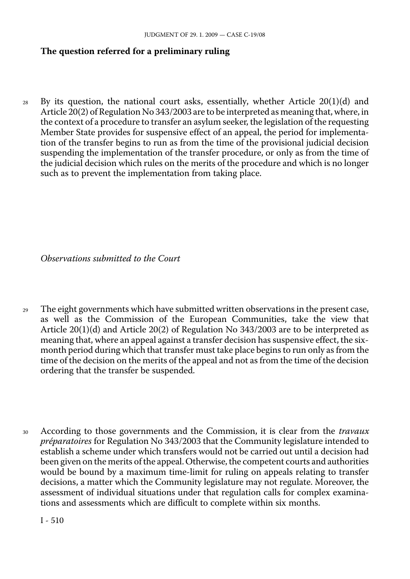### **The question referred for a preliminary ruling**

 $28$  By its question, the national court asks, essentially, whether Article 20(1)(d) and Article 20(2) of Regulation No 343/2003 are to be interpreted as meaning that, where, in the context of a procedure to transfer an asylum seeker, the legislation of the requesting Member State provides for suspensive effect of an appeal, the period for implementation of the transfer begins to run as from the time of the provisional judicial decision suspending the implementation of the transfer procedure, or only as from the time of the judicial decision which rules on the merits of the procedure and which is no longer such as to prevent the implementation from taking place.

*Observations submitted to the Court* 

- <sup>29</sup> The eight governments which have submitted written observations in the present case, as well as the Commission of the European Communities, take the view that Article 20(1)(d) and Article 20(2) of Regulation No 343/2003 are to be interpreted as meaning that, where an appeal against a transfer decision has suspensive effect, the sixmonth period during which that transfer must take place begins to run only as from the time of the decision on the merits of the appeal and not as from the time of the decision ordering that the transfer be suspended.
- <sup>30</sup> According to those governments and the Commission, it is clear from the *travaux préparatoires* for Regulation No 343/2003 that the Community legislature intended to establish a scheme under which transfers would not be carried out until a decision had been given on the merits of the appeal. Otherwise, the competent courts and authorities would be bound by a maximum time-limit for ruling on appeals relating to transfer decisions, a matter which the Community legislature may not regulate. Moreover, the assessment of individual situations under that regulation calls for complex examinations and assessments which are difficult to complete within six months.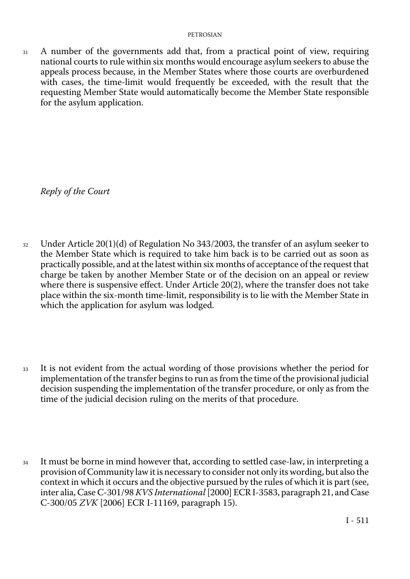31 A number of the governments add that, from a practical point of view, requiring national courts to rule within six months would encourage asylum seekers to abuse the appeals process because, in the Member States where those courts are overburdened with cases, the time-limit would frequently be exceeded, with the result that the requesting Member State would automatically become the Member State responsible for the asylum application.

*Reply of the Court* 

- $32$  Under Article 20(1)(d) of Regulation No 343/2003, the transfer of an asylum seeker to the Member State which is required to take him back is to be carried out as soon as practically possible, and at the latest within six months of acceptance of the request that charge be taken by another Member State or of the decision on an appeal or review where there is suspensive effect. Under Article 20(2), where the transfer does not take place within the six-month time-limit, responsibility is to lie with the Member State in which the application for asylum was lodged.
- <sup>33</sup> It is not evident from the actual wording of those provisions whether the period for implementation of the transfer begins to run as from the time of the provisional judicial decision suspending the implementation of the transfer procedure, or only as from the time of the judicial decision ruling on the merits of that procedure.
- <sup>34</sup> It must be borne in mind however that, according to settled case-law, in interpreting a provision of Community law it is necessary to consider not only its wording, but also the context in which it occurs and the objective pursued by the rules of which it is part (see, inter alia, Case C-301/98 *KVS International* [2000] ECR I-3583, paragraph 21, and Case C-300/05 *ZVK* [2006] ECR I-11169, paragraph 15).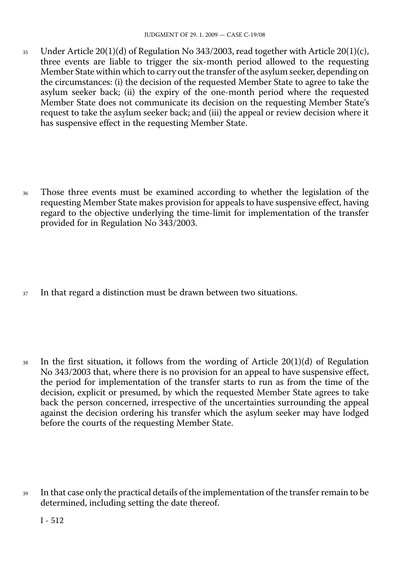35 Under Article 20(1)(d) of Regulation No 343/2003, read together with Article 20(1)(c), three events are liable to trigger the six-month period allowed to the requesting Member State within which to carry out the transfer of the asylum seeker, depending on the circumstances: (i) the decision of the requested Member State to agree to take the asylum seeker back; (ii) the expiry of the one-month period where the requested Member State does not communicate its decision on the requesting Member State's request to take the asylum seeker back; and (iii) the appeal or review decision where it has suspensive effect in the requesting Member State.

<sup>36</sup> Those three events must be examined according to whether the legislation of the requesting Member State makes provision for appeals to have suspensive effect, having regard to the objective underlying the time-limit for implementation of the transfer provided for in Regulation No 343/2003.

<sup>37</sup> In that regard a distinction must be drawn between two situations.

 $38$  In the first situation, it follows from the wording of Article 20(1)(d) of Regulation No 343/2003 that, where there is no provision for an appeal to have suspensive effect, the period for implementation of the transfer starts to run as from the time of the decision, explicit or presumed, by which the requested Member State agrees to take back the person concerned, irrespective of the uncertainties surrounding the appeal against the decision ordering his transfer which the asylum seeker may have lodged before the courts of the requesting Member State.

<sup>39</sup> In that case only the practical details of the implementation of the transfer remain to be determined, including setting the date thereof.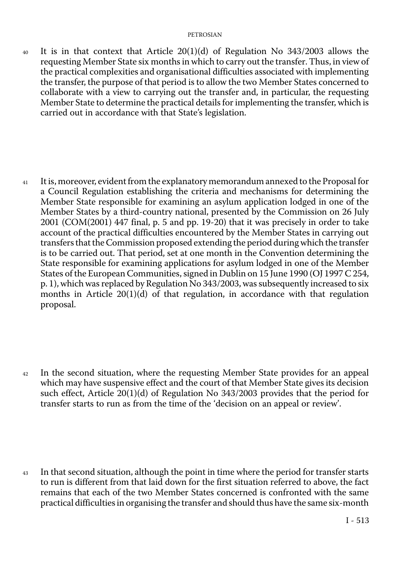- $40$  It is in that context that Article 20(1)(d) of Regulation No 343/2003 allows the requesting Member State six months in which to carry out the transfer. Thus, in view of the practical complexities and organisational difficulties associated with implementing the transfer, the purpose of that period is to allow the two Member States concerned to collaborate with a view to carrying out the transfer and, in particular, the requesting Member State to determine the practical details for implementing the transfer, which is carried out in accordance with that State's legislation.
- <sup>41</sup> It is, moreover, evident from the explanatory memorandum annexed to the Proposal for a Council Regulation establishing the criteria and mechanisms for determining the Member State responsible for examining an asylum application lodged in one of the Member States by a third-country national, presented by the Commission on 26 July 2001 (COM(2001) 447 final, p. 5 and pp. 19-20) that it was precisely in order to take account of the practical difficulties encountered by the Member States in carrying out transfers that the Commission proposed extending the period during which the transfer is to be carried out. That period, set at one month in the Convention determining the State responsible for examining applications for asylum lodged in one of the Member States of the European Communities, signed in Dublin on 15 June 1990 (OJ 1997 C 254, p. 1), which was replaced by Regulation No 343/2003, was subsequently increased to six months in Article  $20(1)(d)$  of that regulation, in accordance with that regulation proposal.

- <sup>42</sup> In the second situation, where the requesting Member State provides for an appeal which may have suspensive effect and the court of that Member State gives its decision such effect, Article  $20(1)(d)$  of Regulation No 343/2003 provides that the period for transfer starts to run as from the time of the 'decision on an appeal or review'.
- <sup>43</sup> In that second situation, although the point in time where the period for transfer starts to run is different from that laid down for the first situation referred to above, the fact remains that each of the two Member States concerned is confronted with the same practical difficulties in organising the transfer and should thus have the same six-month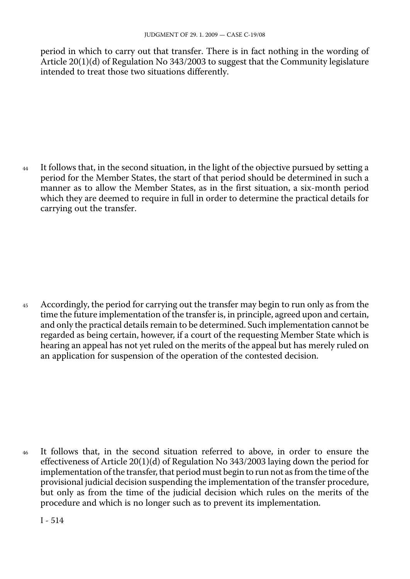period in which to carry out that transfer. There is in fact nothing in the wording of Article 20(1)(d) of Regulation No 343/2003 to suggest that the Community legislature intended to treat those two situations differently.

<sup>44</sup> It follows that, in the second situation, in the light of the objective pursued by setting a period for the Member States, the start of that period should be determined in such a manner as to allow the Member States, as in the first situation, a six-month period which they are deemed to require in full in order to determine the practical details for carrying out the transfer.

<sup>45</sup> Accordingly, the period for carrying out the transfer may begin to run only as from the time the future implementation of the transfer is, in principle, agreed upon and certain, and only the practical details remain to be determined. Such implementation cannot be regarded as being certain, however, if a court of the requesting Member State which is hearing an appeal has not yet ruled on the merits of the appeal but has merely ruled on an application for suspension of the operation of the contested decision.

<sup>46</sup> It follows that, in the second situation referred to above, in order to ensure the effectiveness of Article 20(1)(d) of Regulation No 343/2003 laying down the period for implementation of the transfer, that period must begin to run not as from the time of the provisional judicial decision suspending the implementation of the transfer procedure, but only as from the time of the judicial decision which rules on the merits of the procedure and which is no longer such as to prevent its implementation.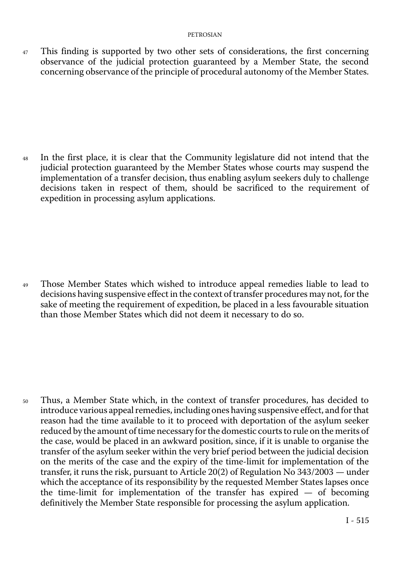47 This finding is supported by two other sets of considerations, the first concerning observance of the judicial protection guaranteed by a Member State, the second concerning observance of the principle of procedural autonomy of the Member States.

<sup>48</sup> In the first place, it is clear that the Community legislature did not intend that the judicial protection guaranteed by the Member States whose courts may suspend the implementation of a transfer decision, thus enabling asylum seekers duly to challenge decisions taken in respect of them, should be sacrificed to the requirement of expedition in processing asylum applications.

<sup>49</sup> Those Member States which wished to introduce appeal remedies liable to lead to decisions having suspensive effect in the context of transfer procedures may not, for the sake of meeting the requirement of expedition, be placed in a less favourable situation than those Member States which did not deem it necessary to do so.

<sup>50</sup> Thus, a Member State which, in the context of transfer procedures, has decided to introduce various appeal remedies, including ones having suspensive effect, and for that reason had the time available to it to proceed with deportation of the asylum seeker reduced by the amount of time necessary for the domestic courts to rule on the merits of the case, would be placed in an awkward position, since, if it is unable to organise the transfer of the asylum seeker within the very brief period between the judicial decision on the merits of the case and the expiry of the time-limit for implementation of the transfer, it runs the risk, pursuant to Article 20(2) of Regulation No 343/2003 — under which the acceptance of its responsibility by the requested Member States lapses once the time-limit for implementation of the transfer has expired — of becoming definitively the Member State responsible for processing the asylum application.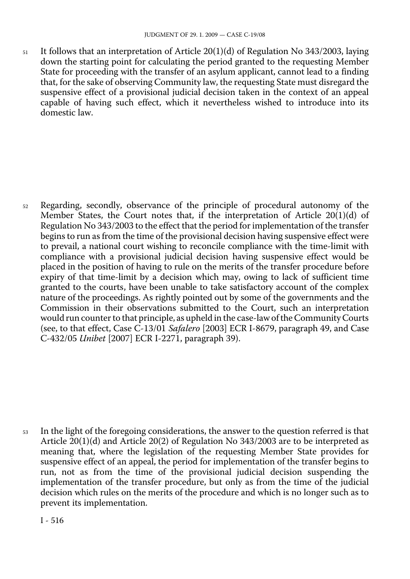51 It follows that an interpretation of Article 20(1)(d) of Regulation No 343/2003, laying down the starting point for calculating the period granted to the requesting Member State for proceeding with the transfer of an asylum applicant, cannot lead to a finding that, for the sake of observing Community law, the requesting State must disregard the suspensive effect of a provisional judicial decision taken in the context of an appeal capable of having such effect, which it nevertheless wished to introduce into its domestic law.

52 Regarding, secondly, observance of the principle of procedural autonomy of the Member States, the Court notes that, if the interpretation of Article 20(1)(d) of Regulation No 343/2003 to the effect that the period for implementation of the transfer begins to run as from the time of the provisional decision having suspensive effect were to prevail, a national court wishing to reconcile compliance with the time-limit with compliance with a provisional judicial decision having suspensive effect would be placed in the position of having to rule on the merits of the transfer procedure before expiry of that time-limit by a decision which may, owing to lack of sufficient time granted to the courts, have been unable to take satisfactory account of the complex nature of the proceedings. As rightly pointed out by some of the governments and the Commission in their observations submitted to the Court, such an interpretation would run counter to that principle, as upheld in the case-law of the Community Courts (see, to that effect, Case C-13/01 *Safalero* [2003] ECR I-8679, paragraph 49, and Case C-432/05 *Unibet* [2007] ECR I-2271, paragraph 39).

53 In the light of the foregoing considerations, the answer to the question referred is that Article 20(1)(d) and Article 20(2) of Regulation No 343/2003 are to be interpreted as meaning that, where the legislation of the requesting Member State provides for suspensive effect of an appeal, the period for implementation of the transfer begins to run, not as from the time of the provisional judicial decision suspending the implementation of the transfer procedure, but only as from the time of the judicial decision which rules on the merits of the procedure and which is no longer such as to prevent its implementation.